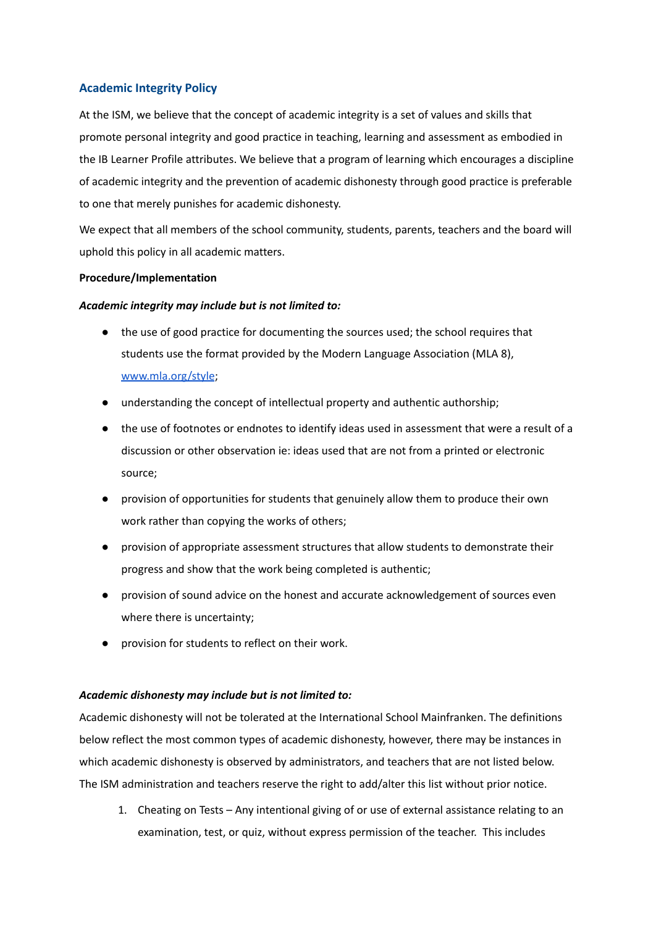# **Academic Integrity Policy**

At the ISM, we believe that the concept of academic integrity is a set of values and skills that promote personal integrity and good practice in teaching, learning and assessment as embodied in the IB Learner Profile attributes. We believe that a program of learning which encourages a discipline of academic integrity and the prevention of academic dishonesty through good practice is preferable to one that merely punishes for academic dishonesty.

We expect that all members of the school community, students, parents, teachers and the board will uphold this policy in all academic matters.

### **Procedure/Implementation**

### *Academic integrity may include but is not limited to:*

- the use of good practice for documenting the sources used; the school requires that students use the format provided by the Modern Language Association (MLA 8), [www.mla.org/style](http://www.mla.org/style);
- understanding the concept of intellectual property and authentic authorship;
- the use of footnotes or endnotes to identify ideas used in assessment that were a result of a discussion or other observation ie: ideas used that are not from a printed or electronic source;
- provision of opportunities for students that genuinely allow them to produce their own work rather than copying the works of others;
- provision of appropriate assessment structures that allow students to demonstrate their progress and show that the work being completed is authentic;
- provision of sound advice on the honest and accurate acknowledgement of sources even where there is uncertainty;
- provision for students to reflect on their work.

#### *Academic dishonesty may include but is not limited to:*

Academic dishonesty will not be tolerated at the International School Mainfranken. The definitions below reflect the most common types of academic dishonesty, however, there may be instances in which academic dishonesty is observed by administrators, and teachers that are not listed below. The ISM administration and teachers reserve the right to add/alter this list without prior notice.

1. Cheating on Tests – Any intentional giving of or use of external assistance relating to an examination, test, or quiz, without express permission of the teacher. This includes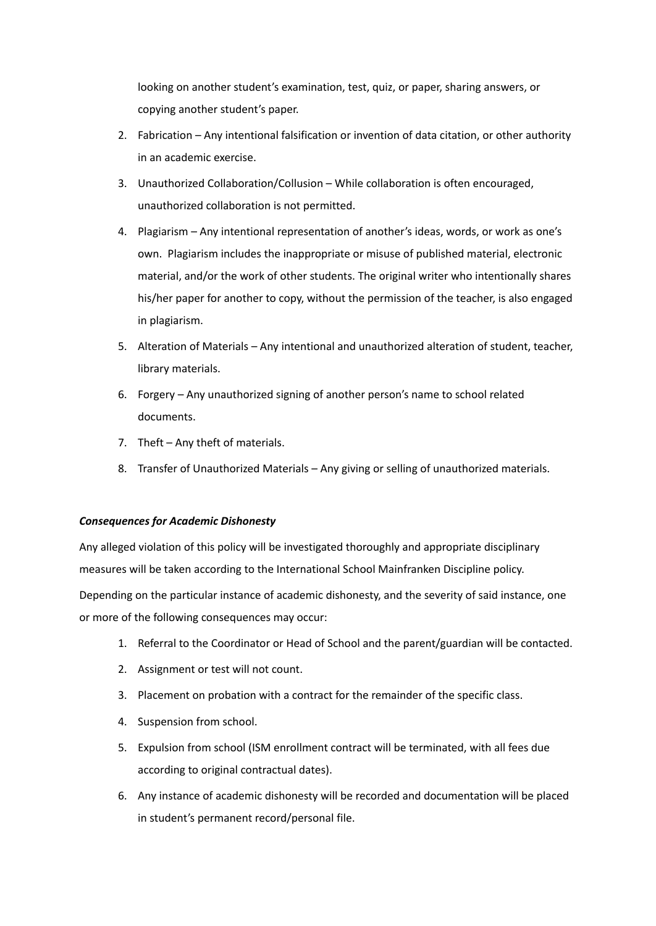looking on another student's examination, test, quiz, or paper, sharing answers, or copying another student's paper.

- 2. Fabrication Any intentional falsification or invention of data citation, or other authority in an academic exercise.
- 3. Unauthorized Collaboration/Collusion While collaboration is often encouraged, unauthorized collaboration is not permitted.
- 4. Plagiarism Any intentional representation of another's ideas, words, or work as one's own. Plagiarism includes the inappropriate or misuse of published material, electronic material, and/or the work of other students. The original writer who intentionally shares his/her paper for another to copy, without the permission of the teacher, is also engaged in plagiarism.
- 5. Alteration of Materials Any intentional and unauthorized alteration of student, teacher, library materials.
- 6. Forgery Any unauthorized signing of another person's name to school related documents.
- 7. Theft Any theft of materials.
- 8. Transfer of Unauthorized Materials Any giving or selling of unauthorized materials.

# *Consequences for Academic Dishonesty*

Any alleged violation of this policy will be investigated thoroughly and appropriate disciplinary measures will be taken according to the International School Mainfranken Discipline policy. Depending on the particular instance of academic dishonesty, and the severity of said instance, one or more of the following consequences may occur:

- 1. Referral to the Coordinator or Head of School and the parent/guardian will be contacted.
- 2. Assignment or test will not count.
- 3. Placement on probation with a contract for the remainder of the specific class.
- 4. Suspension from school.
- 5. Expulsion from school (ISM enrollment contract will be terminated, with all fees due according to original contractual dates).
- 6. Any instance of academic dishonesty will be recorded and documentation will be placed in student's permanent record/personal file.